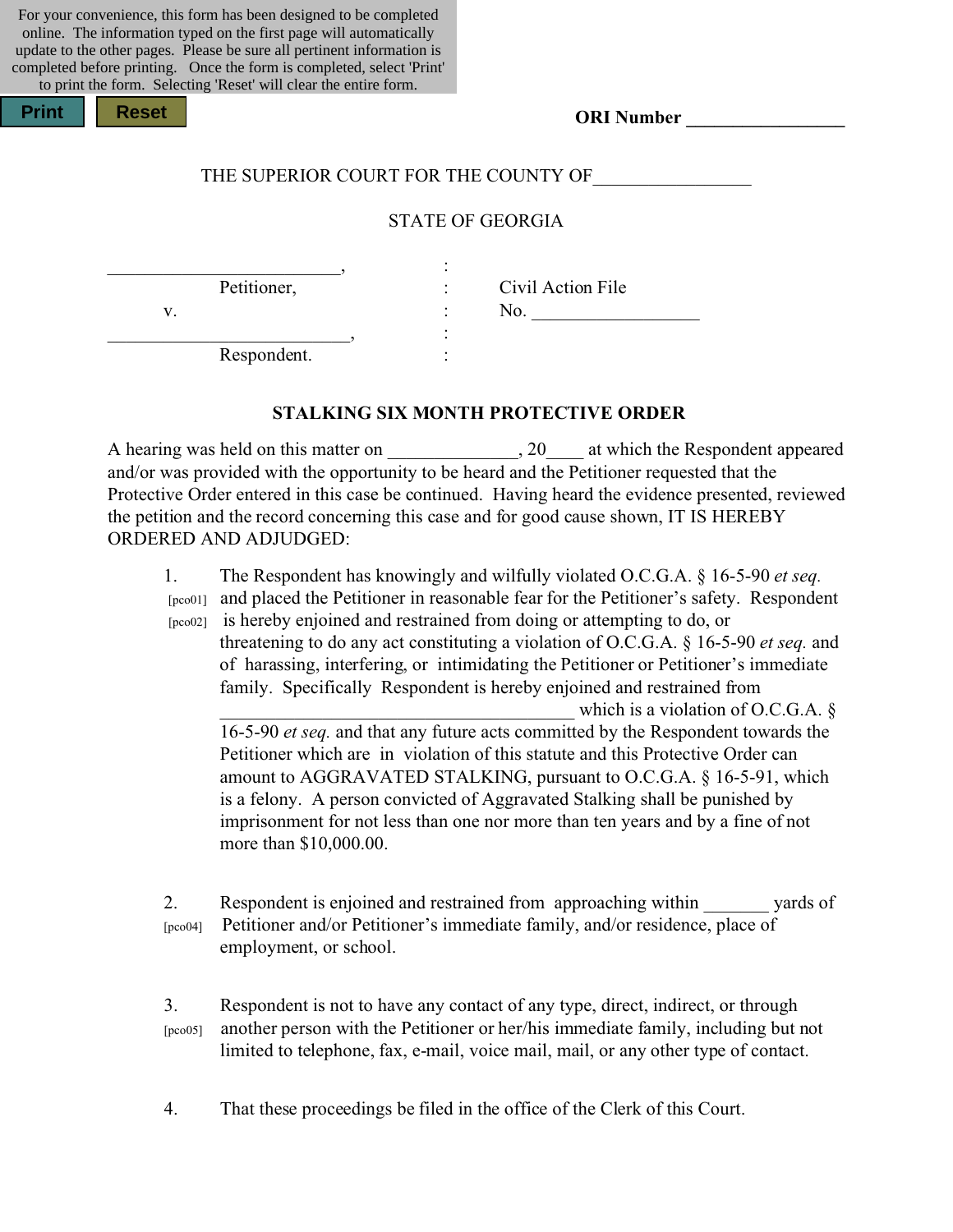For your convenience, this form has been designed to be completed online. The information typed on the first page will automatically update to the other pages. Please be sure all pertinent information is completed before printing. Once the form is completed, select 'Print' to print the form. Selecting 'Reset' will clear the entire form.

| <b>Print</b><br>Res |  |
|---------------------|--|
|---------------------|--|

**Print Reset**

**ORI Number \_\_\_\_\_\_\_\_\_\_\_\_\_\_\_\_\_**

### THE SUPERIOR COURT FOR THE COUNTY OF

### STATE OF GEORGIA

\_\_\_\_\_\_\_\_\_\_\_\_\_\_\_\_\_\_\_\_\_\_\_\_\_, :

Petitioner, : Civil Action File  $v.$   $\qquad \qquad$  :  $\qquad \qquad$  No.

Respondent.

\_\_\_\_\_\_\_\_\_\_\_\_\_\_\_\_\_\_\_\_\_\_\_\_\_\_, :

### **STALKING SIX MONTH PROTECTIVE ORDER**

A hearing was held on this matter on \_\_\_\_\_\_\_\_\_\_\_\_\_, 20\_\_\_\_ at which the Respondent appeared and/or was provided with the opportunity to be heard and the Petitioner requested that the Protective Order entered in this case be continued. Having heard the evidence presented, reviewed the petition and the record concerning this case and for good cause shown, IT IS HEREBY ORDERED AND ADJUDGED:

1. The Respondent has knowingly and wilfully violated O.C.G.A. § 16-5-90 *et seq.* [pco01] and placed the Petitioner in reasonable fear for the Petitioner's safety. Respondent

 [pco02] is hereby enjoined and restrained from doing or attempting to do, or threatening to do any act constituting a violation of O.C.G.A. § 16-5-90 *et seq.* and of harassing, interfering, or intimidating the Petitioner or Petitioner's immediate family. Specifically Respondent is hereby enjoined and restrained from

which is a violation of O.C.G.A.  $\S$ 16-5-90 *et seq.* and that any future acts committed by the Respondent towards the Petitioner which are in violation of this statute and this Protective Order can amount to AGGRAVATED STALKING, pursuant to O.C.G.A. § 16-5-91, which is a felony. A person convicted of Aggravated Stalking shall be punished by imprisonment for not less than one nor more than ten years and by a fine of not more than \$10,000.00.

2. Respondent is enjoined and restrained from approaching within vards of [pco04] Petitioner and/or Petitioner's immediate family, and/or residence, place of employment, or school.

3. Respondent is not to have any contact of any type, direct, indirect, or through [pco05] another person with the Petitioner or her/his immediate family, including but not limited to telephone, fax, e-mail, voice mail, mail, or any other type of contact.

4. That these proceedings be filed in the office of the Clerk of this Court.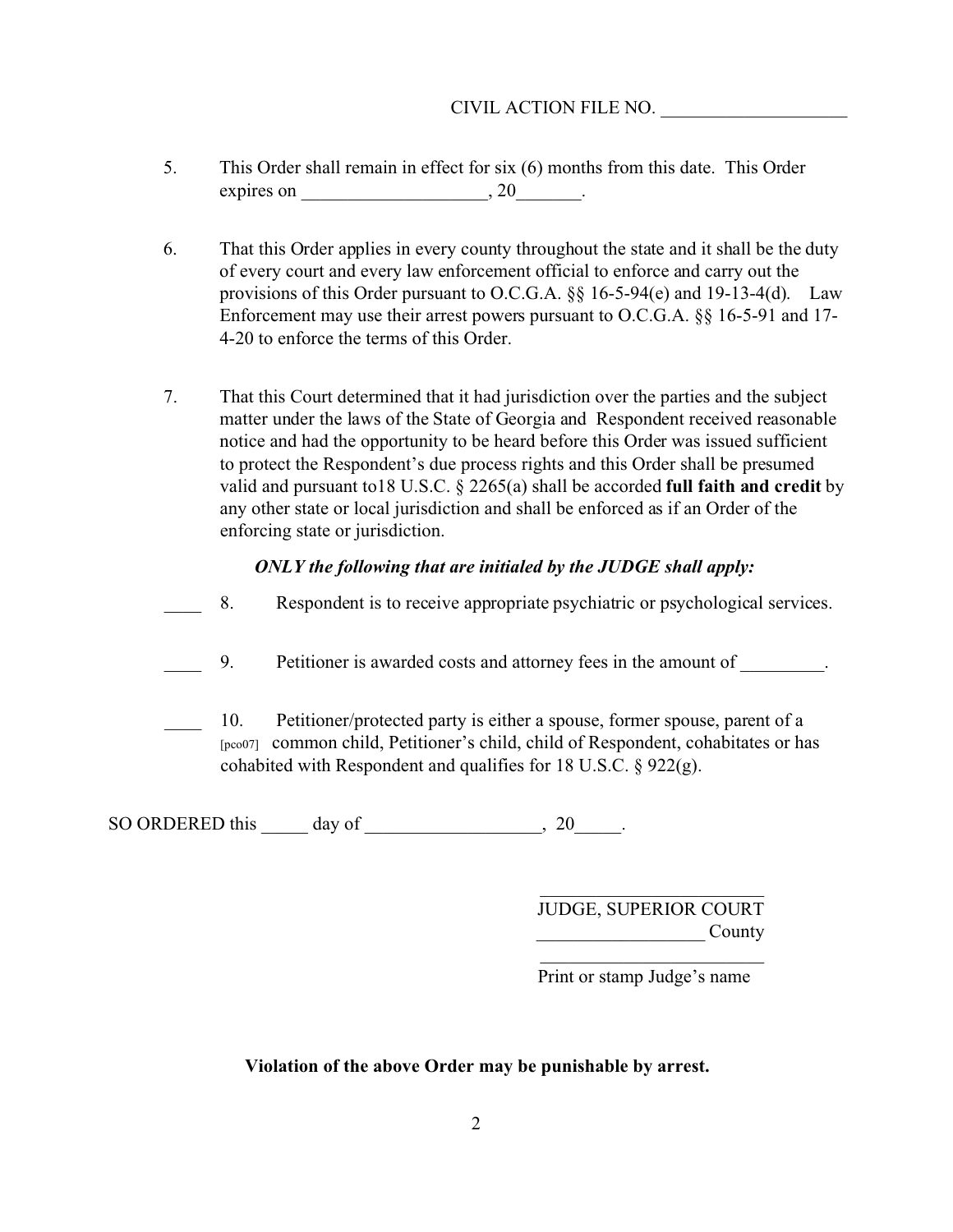## CIVIL ACTION FILE NO. \_\_\_\_\_\_\_\_\_\_\_\_\_\_\_\_\_\_\_\_

- 5. This Order shall remain in effect for six (6) months from this date. This Order expires on  $\_\_\_\_\_$ , 20 $\_\_\_\_\_\_\_\_$
- 6. That this Order applies in every county throughout the state and it shall be the duty of every court and every law enforcement official to enforce and carry out the provisions of this Order pursuant to O.C.G.A. §§ 16-5-94(e) and 19-13-4(d). Law Enforcement may use their arrest powers pursuant to O.C.G.A. §§ 16-5-91 and 17- 4-20 to enforce the terms of this Order.
- 7. That this Court determined that it had jurisdiction over the parties and the subject matter under the laws of the State of Georgia and Respondent received reasonable notice and had the opportunity to be heard before this Order was issued sufficient to protect the Respondent's due process rights and this Order shall be presumed valid and pursuant to18 U.S.C. § 2265(a) shall be accorded **full faith and credit** by any other state or local jurisdiction and shall be enforced as if an Order of the enforcing state or jurisdiction.

## *ONLY the following that are initialed by the JUDGE shall apply:*

- \_\_\_\_ 8. Respondent is to receive appropriate psychiatric or psychological services.
- 9. Petitioner is awarded costs and attorney fees in the amount of  $\qquad \qquad$ .
- 10. Petitioner/protected party is either a spouse, former spouse, parent of a [pco07] common child, Petitioner's child, child of Respondent, cohabitates or has cohabited with Respondent and qualifies for 18 U.S.C. § 922(g).

SO ORDERED this  $\rule{1em}{0.15mm}$  day of  $\rrule{1.5mm}{0.15mm}$ , 20 $\rule{1.5mm}$ .

JUDGE, SUPERIOR COURT  $County$  $\overline{\phantom{a}}$  , and the set of the set of the set of the set of the set of the set of the set of the set of the set of the set of the set of the set of the set of the set of the set of the set of the set of the set of the s

\_\_\_\_\_\_\_\_\_\_\_\_\_\_\_\_\_\_\_\_\_\_\_\_

Print or stamp Judge's name

## **Violation of the above Order may be punishable by arrest.**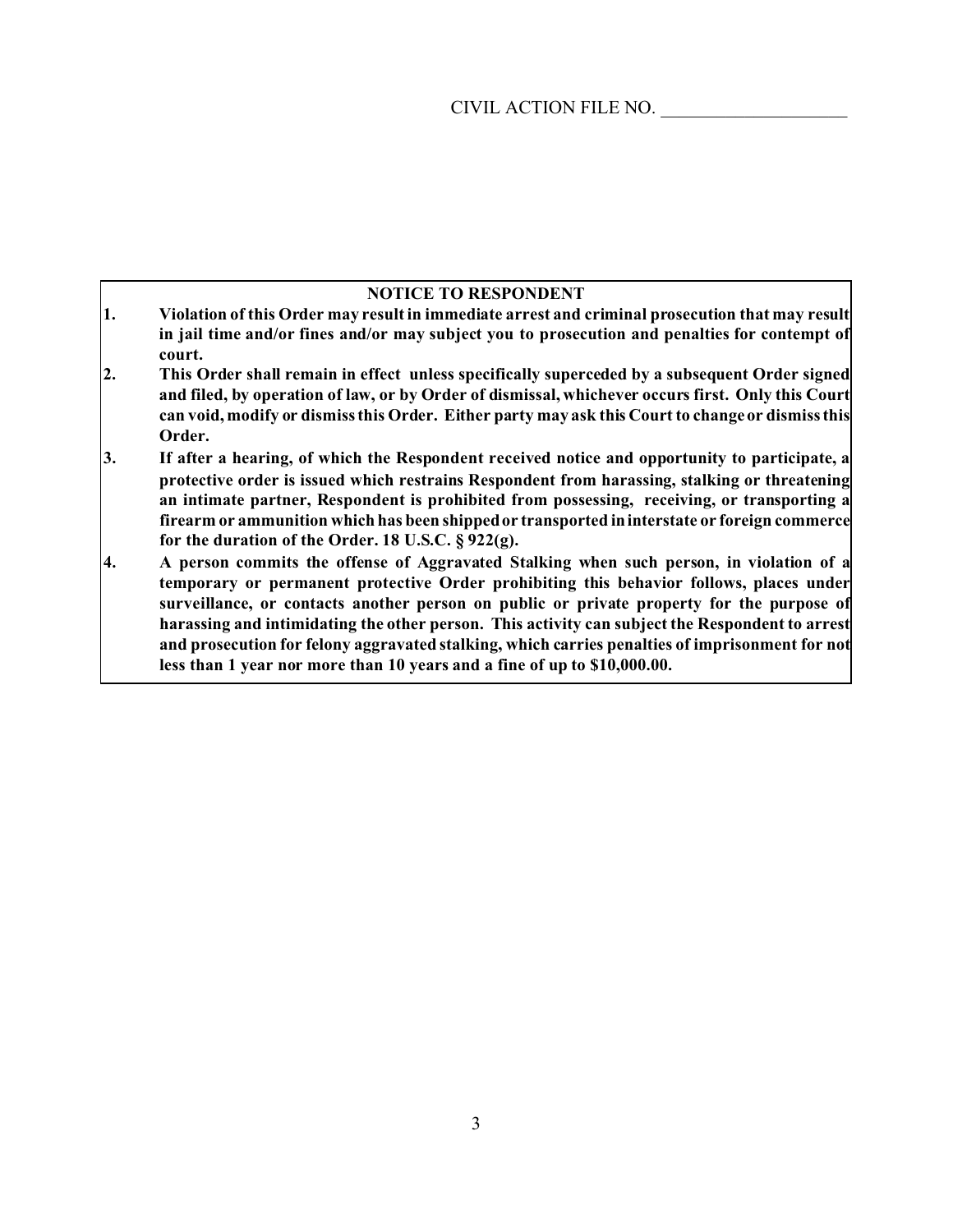### **NOTICE TO RESPONDENT**

- **1. Violation of this Order may result in immediate arrest and criminal prosecution that may result in jail time and/or fines and/or may subject you to prosecution and penalties for contempt of court.**
- **2. This Order shall remain in effect unless specifically superceded by a subsequent Order signed and filed, by operation of law, or by Order of dismissal, whichever occurs first. Only this Court can void, modify or dismiss this Order. Either party may ask this Court to change or dismiss this Order.**
- **3. If after a hearing, of which the Respondent received notice and opportunity to participate, a protective order is issued which restrains Respondent from harassing, stalking or threatening an intimate partner, Respondent is prohibited from possessing, receiving, or transporting a firearm or ammunition which has been shipped or transported in interstate or foreign commerce for the duration of the Order. 18 U.S.C. § 922(g).**
- **4. A person commits the offense of Aggravated Stalking when such person, in violation of a temporary or permanent protective Order prohibiting this behavior follows, places under surveillance, or contacts another person on public or private property for the purpose of harassing and intimidating the other person. This activity can subject the Respondent to arrest and prosecution for felony aggravated stalking, which carries penalties of imprisonment for not less than 1 year nor more than 10 years and a fine of up to \$10,000.00.**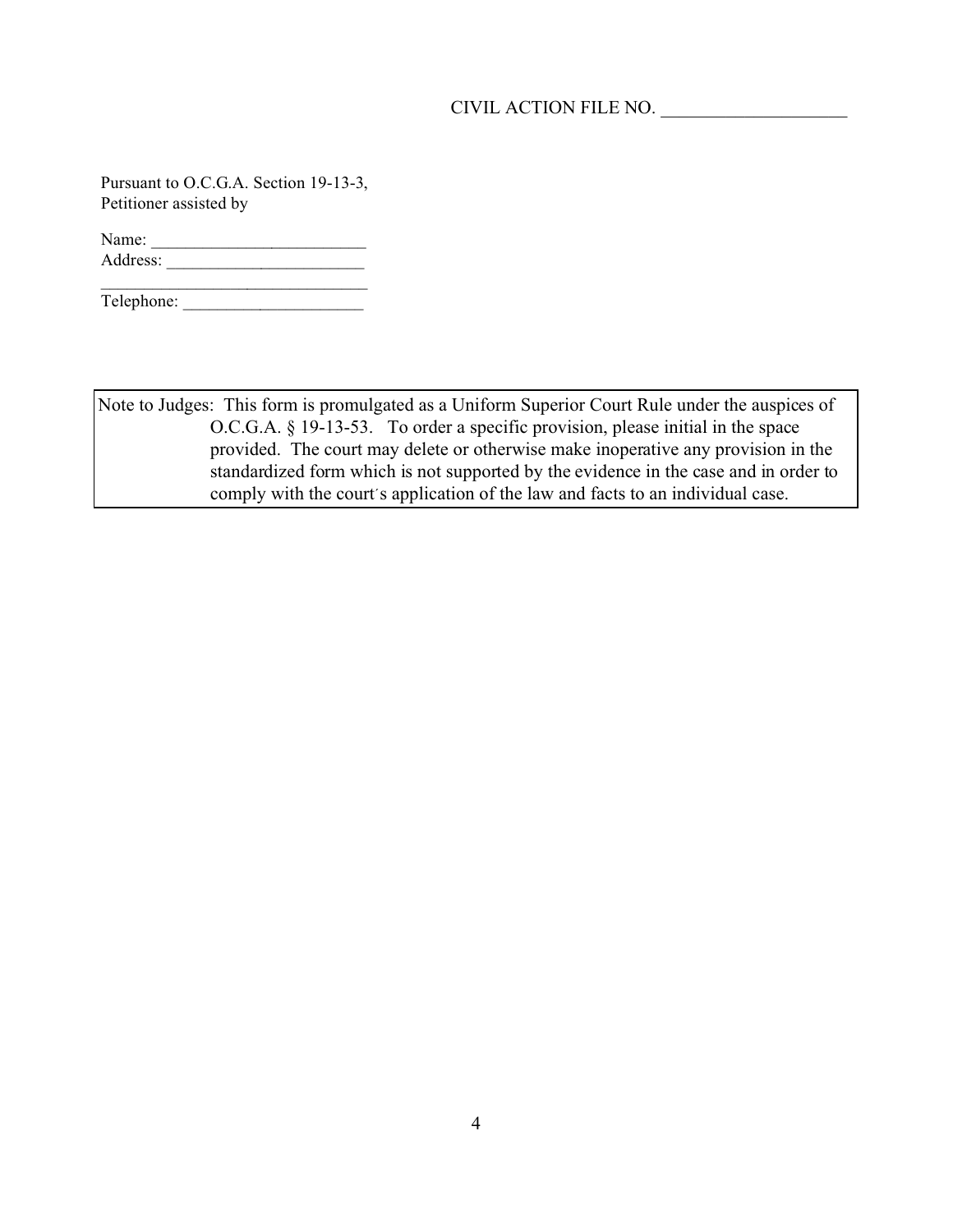## CIVIL ACTION FILE NO. \_\_\_\_\_\_\_\_\_\_\_\_\_\_\_\_\_\_\_\_

Pursuant to O.C.G.A. Section 19-13-3, Petitioner assisted by

Name: \_\_\_\_\_\_\_\_\_\_\_\_\_\_\_\_\_\_\_\_\_\_\_\_\_ Address: \_\_\_\_\_\_\_\_\_\_\_\_\_\_\_\_\_\_\_\_\_\_\_

Telephone: \_\_\_\_\_\_\_\_\_\_\_\_\_\_\_\_\_\_\_\_\_

 $\overline{\phantom{a}}$  , where  $\overline{\phantom{a}}$  , where  $\overline{\phantom{a}}$ 

Note to Judges: This form is promulgated as a Uniform Superior Court Rule under the auspices of O.C.G.A. § 19-13-53. To order a specific provision, please initial in the space provided. The court may delete or otherwise make inoperative any provision in the standardized form which is not supported by the evidence in the case and in order to comply with the court's application of the law and facts to an individual case.